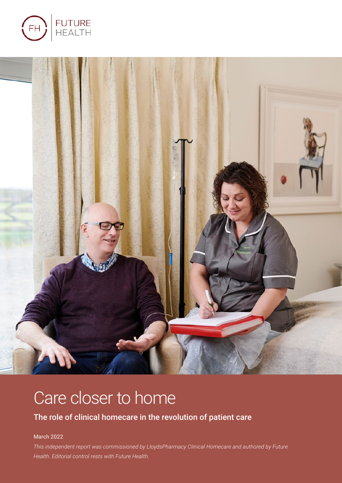



# Care closer to home

### The role of clinical homecare in the revolution of patient care

#### March 2022

*This independent report was commissioned by LloydsPharmacy Clinical Homecare and authored by Future Health. Editorial control rests with Future Health.*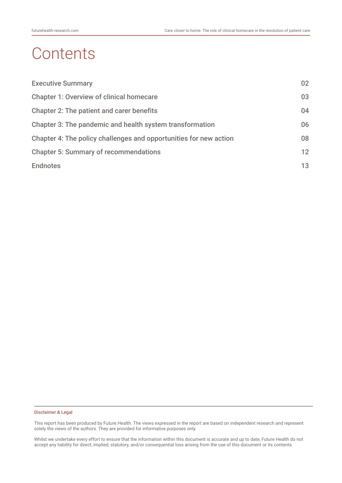# **Contents**

| <b>Executive Summary</b>                                          | 02 |
|-------------------------------------------------------------------|----|
| <b>Chapter 1: Overview of clinical homecare</b>                   | 03 |
| <b>Chapter 2: The patient and carer benefits</b>                  | 04 |
| Chapter 3: The pandemic and health system transformation          | 06 |
| Chapter 4: The policy challenges and opportunities for new action | 08 |
| <b>Chapter 5: Summary of recommendations</b>                      | 12 |
| <b>Endnotes</b>                                                   | 13 |

#### Disclaimer & Legal

This report has been produced by Future Health. The views expressed in the report are based on independent research and represent solely the views of the authors. They are provided for informative purposes only.

Whilst we undertake every effort to ensure that the information within this document is accurate and up to date, Future Health do not accept any liability for direct, implied, statutory, and/or consequential loss arising from the use of this document or its contents.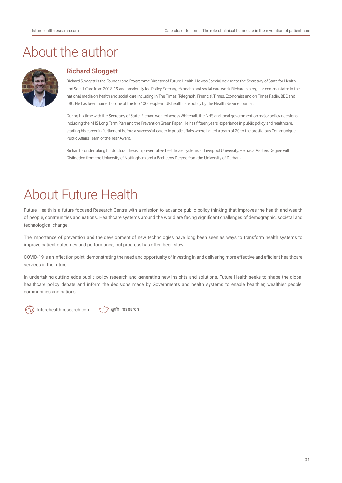### About the author



#### Richard Sloggett

Richard Sloggett is the Founder and Programme Director of Future Health. He was Special Advisor to the Secretary of State for Health and Social Care from 2018-19 and previously led Policy Exchange's health and social care work. Richard is a regular commentator in the national media on health and social care including in The Times, Telegraph, Financial Times, Economist and on Times Radio, BBC and LBC. He has been named as one of the top 100 people in UK healthcare policy by the Health Service Journal.

During his time with the Secretary of State, Richard worked across Whitehall, the NHS and local government on major policy decisions including the NHS Long Term Plan and the Prevention Green Paper. He has fifteen years' experience in public policy and healthcare, starting his career in Parliament before a successful career in public affairs where he led a team of 20 to the prestigious Communique Public Affairs Team of the Year Award.

Richard is undertaking his doctoral thesis in preventative healthcare systems at Liverpool University. He has a Masters Degree with Distinction from the University of Nottingham and a Bachelors Degree from the University of Durham.

## About Future Health

Future Health is a future focused Research Centre with a mission to advance public policy thinking that improves the health and wealth of people, communities and nations. Healthcare systems around the world are facing significant challenges of demographic, societal and technological change.

The importance of prevention and the development of new technologies have long been seen as ways to transform health systems to improve patient outcomes and performance, but progress has often been slow.

COVID-19 is an inflection point, demonstrating the need and opportunity of investing in and delivering more effective and efficient healthcare services in the future.

In undertaking cutting edge public policy research and generating new insights and solutions, Future Health seeks to shape the global healthcare policy debate and inform the decisions made by Governments and health systems to enable healthier, wealthier people, communities and nations.



futurehealth-research.com  $\forall$   $\Diamond$  @fh\_research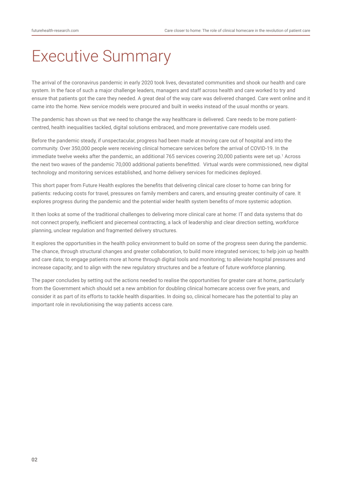# Executive Summary

The arrival of the coronavirus pandemic in early 2020 took lives, devastated communities and shook our health and care system. In the face of such a major challenge leaders, managers and staff across health and care worked to try and ensure that patients got the care they needed. A great deal of the way care was delivered changed. Care went online and it came into the home. New service models were procured and built in weeks instead of the usual months or years.

The pandemic has shown us that we need to change the way healthcare is delivered. Care needs to be more patientcentred, health inequalities tackled, digital solutions embraced, and more preventative care models used.

Before the pandemic steady, if unspectacular, progress had been made at moving care out of hospital and into the community. Over 350,000 people were receiving clinical homecare services before the arrival of COVID-19. In the immediate twelve weeks after the pandemic, an additional 765 services covering 20,000 patients were set up.<sup>1</sup> Across the next two waves of the pandemic 70,000 additional patients benefitted. Virtual wards were commissioned, new digital technology and monitoring services established, and home delivery services for medicines deployed.

This short paper from Future Health explores the benefits that delivering clinical care closer to home can bring for patients: reducing costs for travel, pressures on family members and carers, and ensuring greater continuity of care. It explores progress during the pandemic and the potential wider health system benefits of more systemic adoption.

It then looks at some of the traditional challenges to delivering more clinical care at home: IT and data systems that do not connect properly, inefficient and piecemeal contracting, a lack of leadership and clear direction setting, workforce planning, unclear regulation and fragmented delivery structures.

It explores the opportunities in the health policy environment to build on some of the progress seen during the pandemic. The chance, through structural changes and greater collaboration, to build more integrated services; to help join up health and care data; to engage patients more at home through digital tools and monitoring; to alleviate hospital pressures and increase capacity; and to align with the new regulatory structures and be a feature of future workforce planning.

The paper concludes by setting out the actions needed to realise the opportunities for greater care at home, particularly from the Government which should set a new ambition for doubling clinical homecare access over five years, and consider it as part of its efforts to tackle health disparities. In doing so, clinical homecare has the potential to play an important role in revolutionising the way patients access care.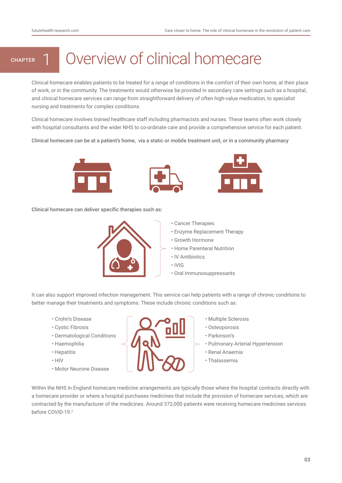# CHAPTER 1 Overview of clinical homecare

Clinical homecare enables patients to be treated for a range of conditions in the comfort of their own home, at their place of work, or in the community. The treatments would otherwise be provided in secondary care settings such as a hospital, and clinical homecare services can range from straightforward delivery of often high-value medication, to specialist nursing and treatments for complex conditions.

Clinical homecare involves trained healthcare staff including pharmacists and nurses. These teams often work closely with hospital consultants and the wider NHS to co-ordinate care and provide a comprehensive service for each patient.

Clinical homecare can be at a patient's home, via a static or mobile treatment unit, or in a community pharmacy







Clinical homecare can deliver specific therapies such as:



• Cancer Therapies

- Enzyme Replacement Therapy
- Growth Hormone
- Home Parenteral Nutrition
- IV Antibiotics
- IVIG
- Oral Immunosuppressants

It can also support improved infection management. This service can help patients with a range of chronic conditions to better manage their treatments and symptoms. These include chronic conditions such as:

- Crohn's Disease
- Cystic Fibrosis
- Dermatological Conditions
- Haemophilia
- Hepatitis
- HIV
- Motor Neurone Disease



- Multiple Sclerosis
- Osteoporosis
- Parkinson's
- Pulmonary Arterial Hypertension
- Renal Anaemia
- Thalassemia

Within the NHS in England homecare medicine arrangements are typically those where the hospital contracts directly with a homecare provider or where a hospital purchases medicines that include the provision of homecare services, which are contracted by the manufacturer of the medicines. Around 372,000 patients were receiving homecare medicines services before COVID-19.2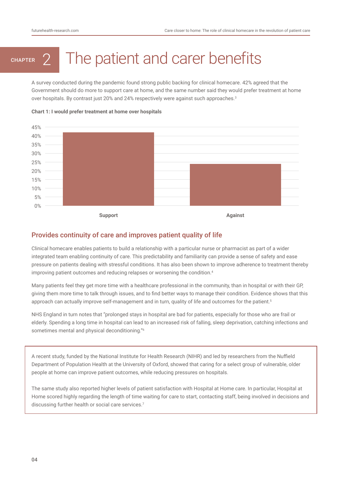# CHAPTER 2 The patient and carer benefits

A survey conducted during the pandemic found strong public backing for clinical homecare. 42% agreed that the Government should do more to support care at home, and the same number said they would prefer treatment at home over hospitals. By contrast just 20% and 24% respectively were against such approaches.<sup>3</sup>



#### **Chart 1: I would prefer treatment at home over hospitals**

#### Provides continuity of care and improves patient quality of life

Clinical homecare enables patients to build a relationship with a particular nurse or pharmacist as part of a wider integrated team enabling continuity of care. This predictability and familiarity can provide a sense of safety and ease pressure on patients dealing with stressful conditions. It has also been shown to improve adherence to treatment thereby improving patient outcomes and reducing relapses or worsening the condition.<sup>4</sup>

Many patients feel they get more time with a healthcare professional in the community, than in hospital or with their GP, giving them more time to talk through issues, and to find better ways to manage their condition. Evidence shows that this approach can actually improve self-management and in turn, quality of life and outcomes for the patient.<sup>5</sup>

NHS England in turn notes that "prolonged stays in hospital are bad for patients, especially for those who are frail or elderly. Spending a long time in hospital can lead to an increased risk of falling, sleep deprivation, catching infections and sometimes mental and physical deconditioning."6

A recent study, funded by the National Institute for Health Research (NIHR) and led by researchers from the Nuffield Department of Population Health at the University of Oxford, showed that caring for a select group of vulnerable, older people at home can improve patient outcomes, while reducing pressures on hospitals.

The same study also reported higher levels of patient satisfaction with Hospital at Home care. In particular, Hospital at Home scored highly regarding the length of time waiting for care to start, contacting staff, being involved in decisions and discussing further health or social care services.<sup>7</sup>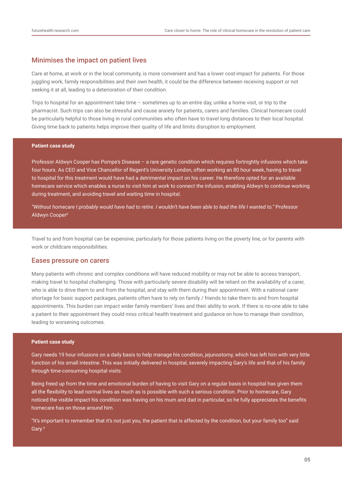#### Minimises the impact on patient lives

Care at home, at work or in the local community, is more convenient and has a lower cost-impact for patients. For those juggling work, family responsibilities and their own health, it could be the difference between receiving support or not seeking it at all, leading to a deterioration of their condition.

Trips to hospital for an appointment take time – sometimes up to an entire day, unlike a home visit, or trip to the pharmacist. Such trips can also be stressful and cause anxiety for patients, carers and families. Clinical homecare could be particularly helpful to those living in rural communities who often have to travel long distances to their local hospital. Giving time back to patients helps improve their quality of life and limits disruption to employment.

#### **Patient case study**

Professor Aldwyn Cooper has Pompe's Disease – a rare genetic condition which requires fortnightly infusions which take four hours. As CEO and Vice Chancellor of Regent's University London, often working an 80 hour week, having to travel to hospital for this treatment would have had a detrimental impact on his career. He therefore opted for an available homecare service which enables a nurse to visit him at work to connect the infusion, enabling Aldwyn to continue working during treatment, and avoiding travel and waiting time in hospital.

*"Without homecare I probably would have had to retire. I wouldn't have been able to lead the life I wanted to."* Professor Aldwyn Cooper8

Travel to and from hospital can be expensive, particularly for those patients living on the poverty line, or for parents with work or childcare responsibilities.

#### Eases pressure on carers

Many patients with chronic and complex conditions will have reduced mobility or may not be able to access transport, making travel to hospital challenging. Those with particularly severe disability will be reliant on the availability of a carer, who is able to drive them to and from the hospital, and stay with them during their appointment. With a national carer shortage for basic support packages, patients often have to rely on family / friends to take them to and from hospital appointments. This burden can impact wider family members' lives and their ability to work. If there is no-one able to take a patient to their appointment they could miss critical health treatment and guidance on how to manage their condition, leading to worsening outcomes.

#### **Patient case study**

Gary needs 19 hour infusions on a daily basis to help manage his condition, jejunostomy, which has left him with very little function of his small intestine. This was initially delivered in hospital, severely impacting Gary's life and that of his family through time-consuming hospital visits.

Being freed up from the time and emotional burden of having to visit Gary on a regular basis in hospital has given them all the flexibility to lead normal lives as much as is possible with such a serious condition. Prior to homecare, Gary noticed the visible impact his condition was having on his mum and dad in particular, so he fully appreciates the benefits homecare has on those around him.

"It's important to remember that it's not just you, the patient that is affected by the condition, but your family too" said Gary.9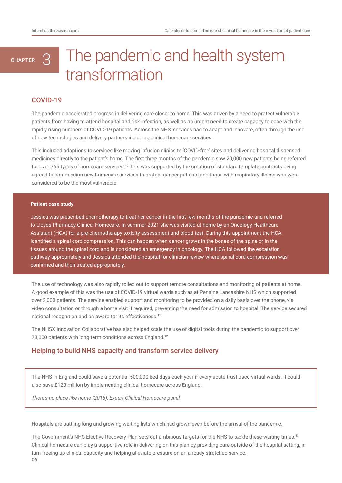# The pandemic and health system transformation

#### COVID-19

**CHAPTER** 

The pandemic accelerated progress in delivering care closer to home. This was driven by a need to protect vulnerable patients from having to attend hospital and risk infection, as well as an urgent need to create capacity to cope with the rapidly rising numbers of COVID-19 patients. Across the NHS, services had to adapt and innovate, often through the use of new technologies and delivery partners including clinical homecare services.

This included adaptions to services like moving infusion clinics to 'COVID-free' sites and delivering hospital dispensed medicines directly to the patient's home. The first three months of the pandemic saw 20,000 new patients being referred for over 765 types of homecare services.<sup>10</sup> This was supported by the creation of standard template contracts being agreed to commission new homecare services to protect cancer patients and those with respiratory illness who were considered to be the most vulnerable.

#### **Patient case study**

Jessica was prescribed chemotherapy to treat her cancer in the first few months of the pandemic and referred to Lloyds Pharmacy Clinical Homecare. In summer 2021 she was visited at home by an Oncology Healthcare Assistant (HCA) for a pre-chemotherapy toxicity assessment and blood test. During this appointment the HCA identified a spinal cord compression. This can happen when cancer grows in the bones of the spine or in the tissues around the spinal cord and is considered an emergency in oncology. The HCA followed the escalation pathway appropriately and Jessica attended the hospital for clinician review where spinal cord compression was confirmed and then treated appropriately.

The use of technology was also rapidly rolled out to support remote consultations and monitoring of patients at home. A good example of this was the use of COVID-19 virtual wards such as at Pennine Lancashire NHS which supported over 2,000 patients. The service enabled support and monitoring to be provided on a daily basis over the phone, via video consultation or through a home visit if required, preventing the need for admission to hospital. The service secured national recognition and an award for its effectiveness.<sup>11</sup>

The NHSX Innovation Collaborative has also helped scale the use of digital tools during the pandemic to support over 78,000 patients with long term conditions across England.12

#### Helping to build NHS capacity and transform service delivery

The NHS in England could save a potential 500,000 bed days each year if every acute trust used virtual wards. It could also save £120 million by implementing clinical homecare across England.

*There's no place like home (2016), Expert Clinical Homecare panel* 

Hospitals are battling long and growing waiting lists which had grown even before the arrival of the pandemic.

06 The Government's NHS Elective Recovery Plan sets out ambitious targets for the NHS to tackle these waiting times.<sup>13</sup> Clinical homecare can play a supportive role in delivering on this plan by providing care outside of the hospital setting, in turn freeing up clinical capacity and helping alleviate pressure on an already stretched service.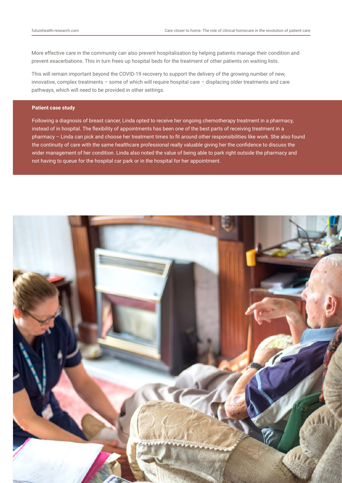More effective care in the community can also prevent hospitalisation by helping patients manage their condition and prevent exacerbations. This in turn frees up hospital beds for the treatment of other patients on waiting lists.

This will remain important beyond the COVID-19 recovery to support the delivery of the growing number of new, innovative, complex treatments – some of which will require hospital care – displacing older treatments and care pathways, which will need to be provided in other settings.

#### **Patient case study**

Following a diagnosis of breast cancer, Linda opted to receive her ongoing chemotherapy treatment in a pharmacy, instead of in hospital. The flexibility of appointments has been one of the best parts of receiving treatment in a pharmacy – Linda can pick and choose her treatment times to fit around other responsibilities like work. She also found the continuity of care with the same healthcare professional really valuable giving her the confidence to discuss the wider management of her condition. Linda also noted the value of being able to park right outside the pharmacy and not having to queue for the hospital car park or in the hospital for her appointment.

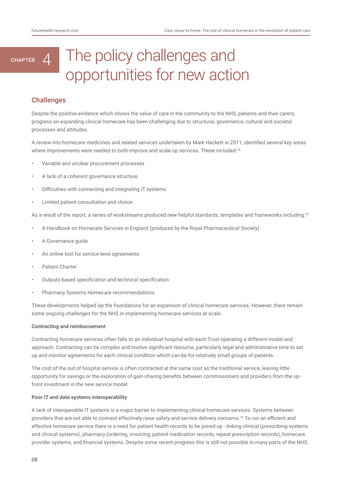### The policy challenges and opportunities for new action CHAPTER  $4$

### **Challenges**

Despite the positive evidence which shows the value of care in the community to the NHS, patients and their carers, progress on expanding clinical homecare has been challenging due to structural, governance, cultural and societal processes and attitudes.

A review into homecare medicines and related services undertaken by Mark Hackett in 2011, identified several key areas where improvements were needed to both improve and scale up services. These included:<sup>14</sup>

- Variable and unclear procurement processes
- A lack of a coherent governance structure
- Difficulties with connecting and integrating IT systems
- Limited patient consultation and choice

As a result of the report, a series of workstreams produced new helpful standards, templates and frameworks including:<sup>15</sup>

- A Handbook on Homecare Services in England (produced by the Royal Pharmaceutical Society)
- A Governance guide
- An online tool for service level agreements
- Patient Charter
- Outputs based specification and technical specification
- Pharmacy Systems Homecare recommendations

These developments helped lay the foundations for an expansion of clinical homecare services. However, there remain some ongoing challenges for the NHS in implementing homecare services at scale.

#### **Contracting and reimbursement**

Contracting homecare services often falls to an individual hospital with each Trust operating a different model and approach. Contracting can be complex and involve significant resource, particularly legal and administrative time to set up and monitor agreements for each clinical condition which can be for relatively small groups of patients.

The cost of the out of hospital service is often contracted at the same cost as the traditional service, leaving little opportunity for savings or the exploration of gain-sharing benefits between commissioners and providers from the upfront investment in the new service model.

#### **Poor IT and data systems interoperability**

A lack of interoperable IT systems is a major barrier to implementing clinical homecare services. Systems between providers that are not able to connect effectively raise safety and service delivery concerns.16 To run an efficient and effective homecare service there is a need for patient health records to be joined up - linking clinical (prescribing systems and clinical systems), pharmacy (ordering, invoicing, patient medication records, repeat prescription records), homecare provider systems, and financial systems. Despite some recent progress this is still not possible in many parts of the NHS.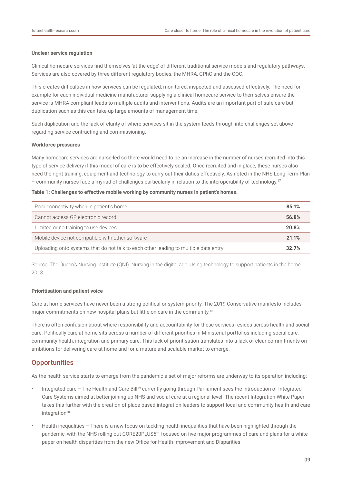#### **Unclear service regulation**

Clinical homecare services find themselves 'at the edge' of different traditional service models and regulatory pathways. Services are also covered by three different regulatory bodies, the MHRA, GPhC and the CQC.

This creates difficulties in how services can be regulated, monitored, inspected and assessed effectively. The need for example for each individual medicine manufacturer supplying a clinical homecare service to themselves ensure the service is MHRA compliant leads to multiple audits and interventions. Audits are an important part of safe care but duplication such as this can take-up large amounts of management time.

Such duplication and the lack of clarity of where services sit in the system feeds through into challenges set above regarding service contracting and commissioning.

#### **Workforce pressures**

Many homecare services are nurse-led so there would need to be an increase in the number of nurses recruited into this type of service delivery if this model of care is to be effectively scaled. Once recruited and in place, these nurses also need the right training, equipment and technology to carry out their duties effectively. As noted in the NHS Long Term Plan – community nurses face a myriad of challenges particularly in relation to the interoperability of technology.17

#### **Table 1: Challenges to effective mobile working by community nurses in patient's homes.**

| Poor connectivity when in patient's home                                             | 85.1% |
|--------------------------------------------------------------------------------------|-------|
| Cannot access GP electronic record                                                   | 56.8% |
| Limited or no training to use devices                                                | 20.8% |
| Mobile device not compatible with other software                                     | 21.1% |
| Uploading onto systems that do not talk to each other leading to multiple data entry | 32.7% |

Source: The Queen's Nursing Institute (QNI). Nursing in the digital age: Using technology to support patients in the home. 2018.

#### **Prioritisation and patient voice**

Care at home services have never been a strong political or system priority. The 2019 Conservative manifesto includes major commitments on new hospital plans but little on care in the community.<sup>18</sup>

There is often confusion about where responsibility and accountability for these services resides across health and social care. Politically care at home sits across a number of different priorities in Ministerial portfolios including social care, community health, integration and primary care. This lack of prioritisation translates into a lack of clear commitments on ambitions for delivering care at home and for a mature and scalable market to emerge.

#### **Opportunities**

As the health service starts to emerge from the pandemic a set of major reforms are underway to its operation including:

- Integrated care The Health and Care Bill<sup>19</sup> currently going through Parliament sees the introduction of Integrated Care Systems aimed at better joining up NHS and social care at a regional level. The recent Integration White Paper takes this further with the creation of place based integration leaders to support local and community health and care integration $20$
- Health inequalities There is a new focus on tackling health inequalities that have been highlighted through the pandemic, with the NHS rolling out CORE20PLUS5<sup>21</sup> focused on five major programmes of care and plans for a white paper on health disparities from the new Office for Health Improvement and Disparities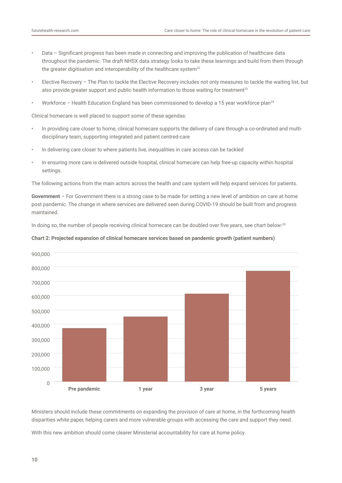- Data Significant progress has been made in connecting and improving the publication of healthcare data throughout the pandemic. The draft NHSX data strategy looks to take these learnings and build from them through the greater digitisation and interoperability of the healthcare system $^{22}$
- Elective Recovery The Plan to tackle the Elective Recovery includes not only measures to tackle the waiting list, but also provide greater support and public health information to those waiting for treatment<sup>23</sup>
- Workforce Health Education England has been commissioned to develop a 15 year workforce plan24

Clinical homecare is well placed to support some of these agendas:

- In providing care closer to home, clinical homecare supports the delivery of care through a co-ordinated and multidisciplinary team, supporting integrated and patient centred-care
- In delivering care closer to where patients live, inequalities in care access can be tackled
- In ensuring more care is delivered outside hospital, clinical homecare can help free-up capacity within hospital settings.

The following actions from the main actors across the health and care system will help expand services for patients.

**Government** – For Government there is a strong case to be made for setting a new level of ambition on care at home post pandemic. The change in where services are delivered seen during COVID-19 should be built from and progress maintained.

In doing so, the number of people receiving clinical homecare can be doubled over five years, see chart below:<sup>25</sup>





Ministers should include these commitments on expanding the provision of care at home, in the forthcoming health disparities white paper, helping carers and more vulnerable groups with accessing the care and support they need.

With this new ambition should come clearer Ministerial accountability for care at home policy.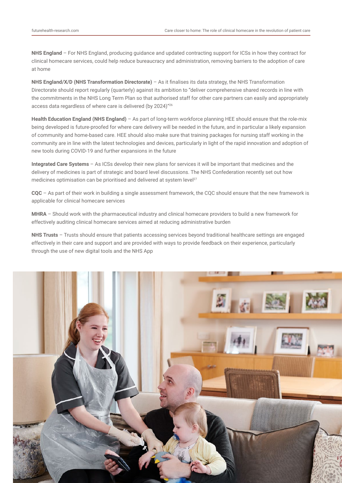**NHS England** – For NHS England, producing guidance and updated contracting support for ICSs in how they contract for clinical homecare services, could help reduce bureaucracy and administration, removing barriers to the adoption of care at home

**NHS England/X/D (NHS Transformation Directorate)** – As it finalises its data strategy, the NHS Transformation Directorate should report regularly (quarterly) against its ambition to "deliver comprehensive shared records in line with the commitments in the NHS Long Term Plan so that authorised staff for other care partners can easily and appropriately access data regardless of where care is delivered (by 2024)"26

**Health Education England (NHS England)** – As part of long-term workforce planning HEE should ensure that the role-mix being developed is future-proofed for where care delivery will be needed in the future, and in particular a likely expansion of community and home-based care. HEE should also make sure that training packages for nursing staff working in the community are in line with the latest technologies and devices, particularly in light of the rapid innovation and adoption of new tools during COVID-19 and further expansions in the future

**Integrated Care Systems** – As ICSs develop their new plans for services it will be important that medicines and the delivery of medicines is part of strategic and board level discussions. The NHS Confederation recently set out how medicines optimisation can be prioritised and delivered at system level<sup>27</sup>

**CQC** – As part of their work in building a single assessment framework, the CQC should ensure that the new framework is applicable for clinical homecare services

**MHRA** – Should work with the pharmaceutical industry and clinical homecare providers to build a new framework for effectively auditing clinical homecare services aimed at reducing administrative burden

**NHS Trusts** – Trusts should ensure that patients accessing services beyond traditional healthcare settings are engaged effectively in their care and support and are provided with ways to provide feedback on their experience, particularly through the use of new digital tools and the NHS App

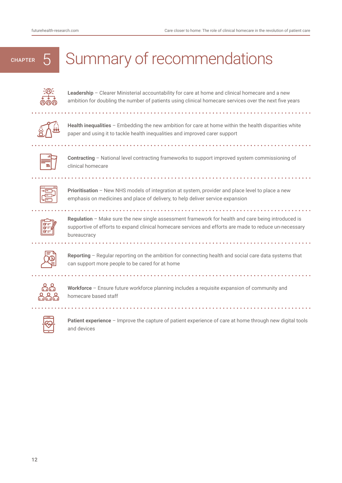# CHAPTER 5 | Summary of recommendations



**Leadership** – Clearer Ministerial accountability for care at home and clinical homecare and a new ambition for doubling the number of patients using clinical homecare services over the next five years



**Health inequalities** – Embedding the new ambition for care at home within the health disparities white paper and using it to tackle health inequalities and improved carer support

. . . . . . . . . . . . . .



**Contracting** – National level contracting frameworks to support improved system commissioning of clinical homecare



**Prioritisation** – New NHS models of integration at system, provider and place level to place a new emphasis on medicines and place of delivery, to help deliver service expansion

**Regulation** – Make sure the new single assessment framework for health and care being introduced is supportive of efforts to expand clinical homecare services and efforts are made to reduce un-necessary bureaucracy

<u>. . . . . . . . . . . .</u>



**Reporting** – Regular reporting on the ambition for connecting health and social care data systems that can support more people to be cared for at home



**Workforce** – Ensure future workforce planning includes a requisite expansion of community and homecare based staff



**Patient experience** – Improve the capture of patient experience of care at home through new digital tools and devices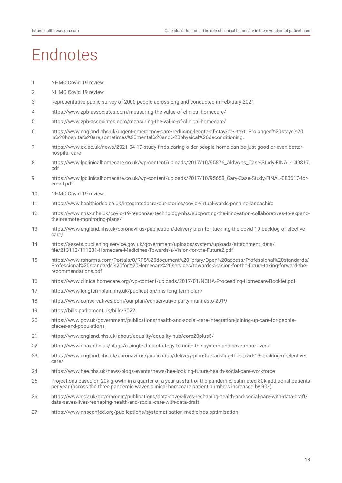# **Fndnotes**

- [NHMC Covid 19 review](https://www.sps.nhs.uk/wp-content/uploads/2020/10/NHMC-Lessons-Learnt-COVID19-FINAL-002.pdf)
- [NHMC Covid 19 review](https://www.sps.nhs.uk/wp-content/uploads/2020/10/NHMC-Lessons-Learnt-COVID19-FINAL-002.pdf)
- Representative public survey of 2000 people across England conducted in February 2021
- <https://www.zpb-associates.com/measuring-the-value-of-clinical-homecare/>
- <https://www.zpb-associates.com/measuring-the-value-of-clinical-homecare/>
- https://www.england.nhs.uk/urgent-emergency-care/reducing-length-of-stay/#:~:text=Prolonged%20stays%20 in%20hospital%20are,sometimes%20mental%20and%20physical%20deconditioning.
- [https://www.ox.ac.uk/news/2021-04-19-study-finds-caring-older-people-home-can-be-just-good-or-even-better](https://www.ox.ac.uk/news/2021-04-19-study-finds-caring-older-people-home-can-be-just-good-or-even-better-hospital-care)[hospital-care](https://www.ox.ac.uk/news/2021-04-19-study-finds-caring-older-people-home-can-be-just-good-or-even-better-hospital-care)
- [https://www.lpclinicalhomecare.co.uk/wp-content/uploads/2017/10/95876\\_Aldwyns\\_Case-Study-FINAL-140817.](https://www.lpclinicalhomecare.co.uk/wp-content/uploads/2017/10/95876_Aldwyns_Case-Study-FINAL-140817.pdf) [pdf](https://www.lpclinicalhomecare.co.uk/wp-content/uploads/2017/10/95876_Aldwyns_Case-Study-FINAL-140817.pdf)
- [https://www.lpclinicalhomecare.co.uk/wp-content/uploads/2017/10/95658\\_Gary-Case-Study-FINAL-080617-for](https://www.lpclinicalhomecare.co.uk/wp-content/uploads/2017/10/95658_Gary-Case-Study-FINAL-080617-for-email.pdf)[email.pdf](https://www.lpclinicalhomecare.co.uk/wp-content/uploads/2017/10/95658_Gary-Case-Study-FINAL-080617-for-email.pdf)
- [NHMC Covid 19 review](https://www.sps.nhs.uk/wp-content/uploads/2020/10/NHMC-Lessons-Learnt-COVID19-FINAL-002.pdf)
- <https://www.healthierlsc.co.uk/integratedcare/our-stories/covid-virtual-wards-pennine-lancashire>
- [https://www.nhsx.nhs.uk/covid-19-response/technology-nhs/supporting-the-innovation-collaboratives-to-expand](https://www.nhsx.nhs.uk/covid-19-response/technology-nhs/supporting-the-innovation-collaboratives-to-expand-their-remote-monitoring-plans/)[their-remote-monitoring-plans/](https://www.nhsx.nhs.uk/covid-19-response/technology-nhs/supporting-the-innovation-collaboratives-to-expand-their-remote-monitoring-plans/)
- [https://www.england.nhs.uk/coronavirus/publication/delivery-plan-for-tackling-the-covid-19-backlog-of-elective](https://www.england.nhs.uk/coronavirus/publication/delivery-plan-for-tackling-the-covid-19-backlog-of-elective-care/)[care/](https://www.england.nhs.uk/coronavirus/publication/delivery-plan-for-tackling-the-covid-19-backlog-of-elective-care/)
- [https://assets.publishing.service.gov.uk/government/uploads/system/uploads/attachment\\_data/](https://assets.publishing.service.gov.uk/government/uploads/system/uploads/attachment_data/file/213112/111201-Homecare-Medicines-Towards-a-Vision-for-the-Future2.pdf) [file/213112/111201-Homecare-Medicines-Towards-a-Vision-for-the-Future2.pdf](https://assets.publishing.service.gov.uk/government/uploads/system/uploads/attachment_data/file/213112/111201-Homecare-Medicines-Towards-a-Vision-for-the-Future2.pdf)
- [https://www.rpharms.com/Portals/0/RPS%20document%20library/Open%20access/Professional%20standards/](https://www.rpharms.com/Portals/0/RPS%20document%20library/Open%20access/Professional%20standards/Professional%20standards%20for%20Homecare%20services/towards-a-vision-for-the-future-taking-forward-the-recommendations.pdf) [Professional%20standards%20for%20Homecare%20services/towards-a-vision-for-the-future-taking-forward-the](https://www.rpharms.com/Portals/0/RPS%20document%20library/Open%20access/Professional%20standards/Professional%20standards%20for%20Homecare%20services/towards-a-vision-for-the-future-taking-forward-the-recommendations.pdf)[recommendations.pdf](https://www.rpharms.com/Portals/0/RPS%20document%20library/Open%20access/Professional%20standards/Professional%20standards%20for%20Homecare%20services/towards-a-vision-for-the-future-taking-forward-the-recommendations.pdf)
- <https://www.clinicalhomecare.org/wp-content/uploads/2017/01/NCHA-Proceeding-Homecare-Booklet.pdf>
- <https://www.longtermplan.nhs.uk/publication/nhs-long-term-plan/>
- <https://www.conservatives.com/our-plan/conservative-party-manifesto-2019>
- <https://bills.parliament.uk/bills/3022>
- [https://www.gov.uk/government/publications/health-and-social-care-integration-joining-up-care-for-people](https://www.gov.uk/government/publications/health-and-social-care-integration-joining-up-care-for-people-places-and-populations)[places-and-populations](https://www.gov.uk/government/publications/health-and-social-care-integration-joining-up-care-for-people-places-and-populations)
- <https://www.england.nhs.uk/about/equality/equality-hub/core20plus5/>
- <https://www.nhsx.nhs.uk/blogs/a-single-data-strategy-to-unite-the-system-and-save-more-lives/>
- [https://www.england.nhs.uk/coronavirus/publication/delivery-plan-for-tackling-the-covid-19-backlog-of-elective](https://www.england.nhs.uk/coronavirus/publication/delivery-plan-for-tackling-the-covid-19-backlog-of-elective-care/)[care/](https://www.england.nhs.uk/coronavirus/publication/delivery-plan-for-tackling-the-covid-19-backlog-of-elective-care/)
- <https://www.hee.nhs.uk/news-blogs-events/news/hee-looking-future-health-social-care-workforce>
- Projections based on 20k growth in a quarter of a year at start of the pandemic; estimated 80k additional patients per year (across the three pandemic waves clinical homecare patient numbers increased by 90k)
- [https://www.gov.uk/government/publications/data-saves-lives-reshaping-health-and-social-care-with-data-draft/](https://www.gov.uk/government/publications/data-saves-lives-reshaping-health-and-social-care-with-data-draft/data-saves-lives-reshaping-health-and-social-care-with-data-draft) [data-saves-lives-reshaping-health-and-social-care-with-data-draft](https://www.gov.uk/government/publications/data-saves-lives-reshaping-health-and-social-care-with-data-draft/data-saves-lives-reshaping-health-and-social-care-with-data-draft)
- <https://www.nhsconfed.org/publications/systematisation-medicines-optimisation>